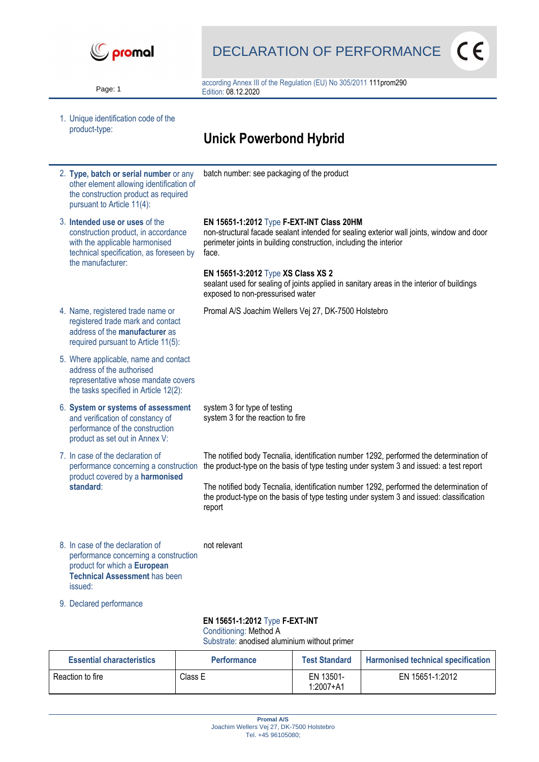

Page: 1

DECLARATION OF PERFORMANCE

 $\epsilon$ 

according Annex III of the Regulation (EU) No 305/2011 111prom290 Edition: 08.12.2020

1. Unique identification code of the product-type:

## **Unick Powerbond Hybrid**

- 2. **Type, batch or serial number** or any other element allowing identification of the construction product as required pursuant to Article 11(4): batch number: see packaging of the product 3. **Intended use or uses** of the construction product, in accordance with the applicable harmonised technical specification, as foreseen by the manufacturer: **EN 15651-1:2012** Type **F-EXT-INT Class 20HM** non-structural facade sealant intended for sealing exterior wall joints, window and door perimeter joints in building construction, including the interior face. **EN 15651-3:2012** Type **XS Class XS 2** sealant used for sealing of joints applied in sanitary areas in the interior of buildings exposed to non-pressurised water 4. Name, registered trade name or registered trade mark and contact address of the **manufacturer** as required pursuant to Article 11(5): Promal A/S Joachim Wellers Vej 27, DK-7500 Holstebro 5. Where applicable, name and contact address of the authorised representative whose mandate covers the tasks specified in Article 12(2): 6. **System or systems of assessment** and verification of constancy of performance of the construction product as set out in Annex V: system 3 for type of testing system 3 for the reaction to fire 7. In case of the declaration of performance concerning a construction product covered by a **harmonised standard**: The notified body Tecnalia, identification number 1292, performed the determination of the product-type on the basis of type testing under system 3 and issued: a test report The notified body Tecnalia, identification number 1292, performed the determination of the product-type on the basis of type testing under system 3 and issued: classification report 8. In case of the declaration of performance concerning a construction product for which a **European**  not relevant
- 9. Declared performance

issued:

**Technical Assessment** has been

## **EN 15651-1:2012** Type **F-EXT-INT**

Conditioning: Method A

Substrate: anodised aluminium without primer

| <b>Essential characteristics</b> | <b>Performance</b> | <b>Test Standard</b>       | <b>Harmonised technical specification</b> |
|----------------------------------|--------------------|----------------------------|-------------------------------------------|
| Reaction to fire                 | Class E            | EN 13501-<br>$1:2007 + A1$ | EN 15651-1:2012                           |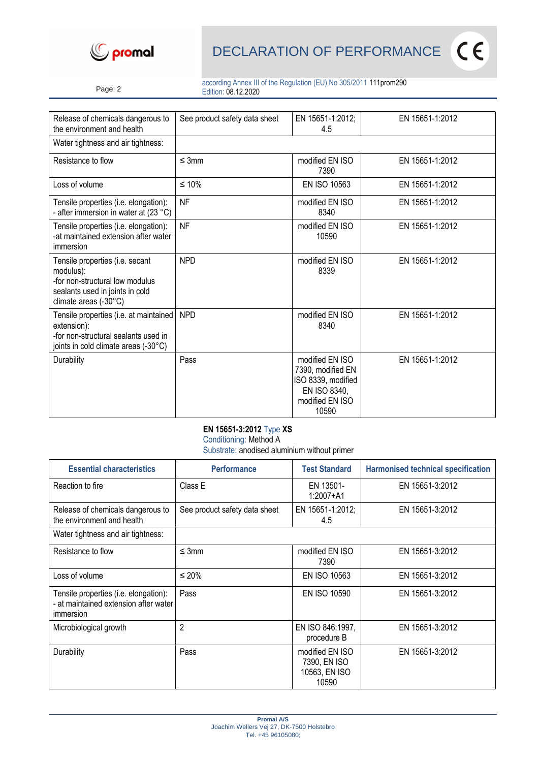



Page: 2

according Annex III of the Regulation (EU) No 305/2011 111prom290 Edition: 08.12.2020

| Release of chemicals dangerous to<br>the environment and health                                                                             | See product safety data sheet | EN 15651-1:2012;<br>4.5                                                                                | EN 15651-1:2012 |
|---------------------------------------------------------------------------------------------------------------------------------------------|-------------------------------|--------------------------------------------------------------------------------------------------------|-----------------|
| Water tightness and air tightness:                                                                                                          |                               |                                                                                                        |                 |
| Resistance to flow                                                                                                                          | $\leq$ 3mm                    | modified EN ISO<br>7390                                                                                | EN 15651-1:2012 |
| Loss of volume                                                                                                                              | $≤ 10%$                       | EN ISO 10563                                                                                           | EN 15651-1:2012 |
| Tensile properties (i.e. elongation):<br>- after immersion in water at (23 °C)                                                              | <b>NF</b>                     | modified EN ISO<br>8340                                                                                | EN 15651-1:2012 |
| Tensile properties (i.e. elongation):<br>-at maintained extension after water<br>immersion                                                  | <b>NF</b>                     | modified EN ISO<br>10590                                                                               | EN 15651-1:2012 |
| Tensile properties (i.e. secant<br>modulus):<br>-for non-structural low modulus<br>sealants used in joints in cold<br>climate areas (-30°C) | <b>NPD</b>                    | modified EN ISO<br>8339                                                                                | EN 15651-1:2012 |
| Tensile properties (i.e. at maintained<br>extension):<br>-for non-structural sealants used in<br>joints in cold climate areas (-30°C)       | <b>NPD</b>                    | modified EN ISO<br>8340                                                                                | EN 15651-1:2012 |
| Durability                                                                                                                                  | Pass                          | modified EN ISO<br>7390, modified EN<br>ISO 8339, modified<br>EN ISO 8340,<br>modified EN ISO<br>10590 | EN 15651-1:2012 |

## **EN 15651-3:2012** Type **XS**

Conditioning: Method A

Substrate: anodised aluminium without primer

| <b>Essential characteristics</b>                                                            | <b>Performance</b>            | <b>Test Standard</b>                                      | <b>Harmonised technical specification</b> |
|---------------------------------------------------------------------------------------------|-------------------------------|-----------------------------------------------------------|-------------------------------------------|
| Reaction to fire                                                                            | Class E                       | EN 13501-<br>$1:2007 + A1$                                | EN 15651-3:2012                           |
| Release of chemicals dangerous to<br>the environment and health                             | See product safety data sheet | EN 15651-1:2012;<br>4.5                                   | EN 15651-3:2012                           |
| Water tightness and air tightness:                                                          |                               |                                                           |                                           |
| Resistance to flow                                                                          | $\leq$ 3mm                    | modified EN ISO<br>7390                                   | EN 15651-3:2012                           |
| Loss of volume                                                                              | ≤ 20%                         | <b>EN ISO 10563</b>                                       | EN 15651-3:2012                           |
| Tensile properties (i.e. elongation):<br>- at maintained extension after water<br>immersion | Pass                          | EN ISO 10590                                              | EN 15651-3:2012                           |
| Microbiological growth                                                                      | $\overline{2}$                | EN ISO 846:1997,<br>procedure B                           | EN 15651-3:2012                           |
| Durability                                                                                  | Pass                          | modified EN ISO<br>7390, EN ISO<br>10563, EN ISO<br>10590 | EN 15651-3:2012                           |